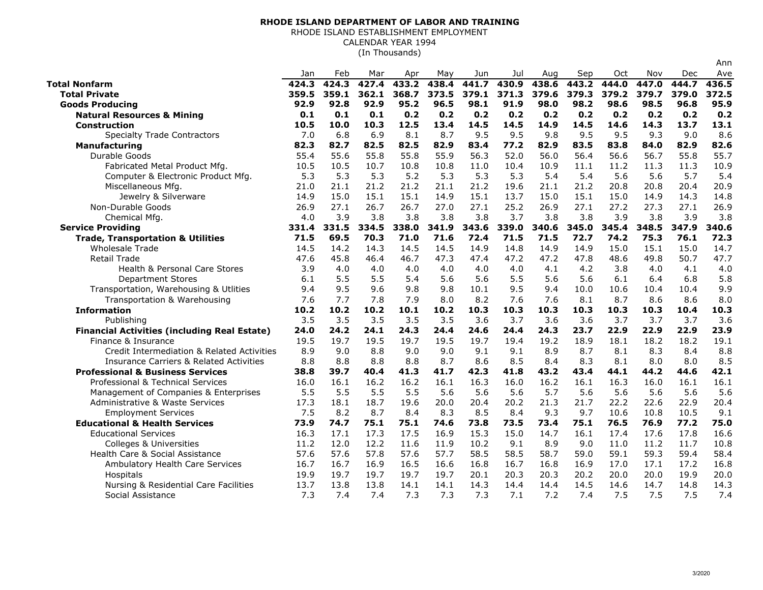## **RHODE ISLAND DEPARTMENT OF LABOR AND TRAINING**

RHODE ISLAND ESTABLISHMENT EMPLOYMENT

CALENDAR YEAR 1994

(In Thousands)

|                                                     |       |       |       |       |       |       |       |       |       |       |       |            | Ann   |
|-----------------------------------------------------|-------|-------|-------|-------|-------|-------|-------|-------|-------|-------|-------|------------|-------|
|                                                     | Jan   | Feb   | Mar   | Apr   | May   | Jun   | Jul   | Aug   | Sep   | Oct   | Nov   | <b>Dec</b> | Ave   |
| <b>Total Nonfarm</b>                                | 424.3 | 424.3 | 427.4 | 433.2 | 438.4 | 441.7 | 430.9 | 438.6 | 443.2 | 444.0 | 447.0 | 444.7      | 436.5 |
| <b>Total Private</b>                                | 359.5 | 359.1 | 362.1 | 368.7 | 373.5 | 379.1 | 371.3 | 379.6 | 379.3 | 379.2 | 379.7 | 379.0      | 372.5 |
| <b>Goods Producing</b>                              | 92.9  | 92.8  | 92.9  | 95.2  | 96.5  | 98.1  | 91.9  | 98.0  | 98.2  | 98.6  | 98.5  | 96.8       | 95.9  |
| <b>Natural Resources &amp; Mining</b>               | 0.1   | 0.1   | 0.1   | 0.2   | 0.2   | 0.2   | 0.2   | 0.2   | 0.2   | 0.2   | 0.2   | 0.2        | 0.2   |
| <b>Construction</b>                                 | 10.5  | 10.0  | 10.3  | 12.5  | 13.4  | 14.5  | 14.5  | 14.9  | 14.5  | 14.6  | 14.3  | 13.7       | 13.1  |
| <b>Specialty Trade Contractors</b>                  | 7.0   | 6.8   | 6.9   | 8.1   | 8.7   | 9.5   | 9.5   | 9.8   | 9.5   | 9.5   | 9.3   | 9.0        | 8.6   |
| <b>Manufacturing</b>                                | 82.3  | 82.7  | 82.5  | 82.5  | 82.9  | 83.4  | 77.2  | 82.9  | 83.5  | 83.8  | 84.0  | 82.9       | 82.6  |
| Durable Goods                                       | 55.4  | 55.6  | 55.8  | 55.8  | 55.9  | 56.3  | 52.0  | 56.0  | 56.4  | 56.6  | 56.7  | 55.8       | 55.7  |
| Fabricated Metal Product Mfg.                       | 10.5  | 10.5  | 10.7  | 10.8  | 10.8  | 11.0  | 10.4  | 10.9  | 11.1  | 11.2  | 11.3  | 11.3       | 10.9  |
| Computer & Electronic Product Mfg.                  | 5.3   | 5.3   | 5.3   | 5.2   | 5.3   | 5.3   | 5.3   | 5.4   | 5.4   | 5.6   | 5.6   | 5.7        | 5.4   |
| Miscellaneous Mfg.                                  | 21.0  | 21.1  | 21.2  | 21.2  | 21.1  | 21.2  | 19.6  | 21.1  | 21.2  | 20.8  | 20.8  | 20.4       | 20.9  |
| Jewelry & Silverware                                | 14.9  | 15.0  | 15.1  | 15.1  | 14.9  | 15.1  | 13.7  | 15.0  | 15.1  | 15.0  | 14.9  | 14.3       | 14.8  |
| Non-Durable Goods                                   | 26.9  | 27.1  | 26.7  | 26.7  | 27.0  | 27.1  | 25.2  | 26.9  | 27.1  | 27.2  | 27.3  | 27.1       | 26.9  |
| Chemical Mfg.                                       | 4.0   | 3.9   | 3.8   | 3.8   | 3.8   | 3.8   | 3.7   | 3.8   | 3.8   | 3.9   | 3.8   | 3.9        | 3.8   |
| <b>Service Providing</b>                            | 331.4 | 331.5 | 334.5 | 338.0 | 341.9 | 343.6 | 339.0 | 340.6 | 345.0 | 345.4 | 348.5 | 347.9      | 340.6 |
| <b>Trade, Transportation &amp; Utilities</b>        | 71.5  | 69.5  | 70.3  | 71.0  | 71.6  | 72.4  | 71.5  | 71.5  | 72.7  | 74.2  | 75.3  | 76.1       | 72.3  |
| <b>Wholesale Trade</b>                              | 14.5  | 14.2  | 14.3  | 14.5  | 14.5  | 14.9  | 14.8  | 14.9  | 14.9  | 15.0  | 15.1  | 15.0       | 14.7  |
| <b>Retail Trade</b>                                 | 47.6  | 45.8  | 46.4  | 46.7  | 47.3  | 47.4  | 47.2  | 47.2  | 47.8  | 48.6  | 49.8  | 50.7       | 47.7  |
| Health & Personal Care Stores                       | 3.9   | 4.0   | 4.0   | 4.0   | 4.0   | 4.0   | 4.0   | 4.1   | 4.2   | 3.8   | 4.0   | 4.1        | 4.0   |
| <b>Department Stores</b>                            | 6.1   | 5.5   | 5.5   | 5.4   | 5.6   | 5.6   | 5.5   | 5.6   | 5.6   | 6.1   | 6.4   | 6.8        | 5.8   |
| Transportation, Warehousing & Utlities              | 9.4   | 9.5   | 9.6   | 9.8   | 9.8   | 10.1  | 9.5   | 9.4   | 10.0  | 10.6  | 10.4  | 10.4       | 9.9   |
| Transportation & Warehousing                        | 7.6   | 7.7   | 7.8   | 7.9   | 8.0   | 8.2   | 7.6   | 7.6   | 8.1   | 8.7   | 8.6   | 8.6        | 8.0   |
| <b>Information</b>                                  | 10.2  | 10.2  | 10.2  | 10.1  | 10.2  | 10.3  | 10.3  | 10.3  | 10.3  | 10.3  | 10.3  | 10.4       | 10.3  |
| Publishing                                          | 3.5   | 3.5   | 3.5   | 3.5   | 3.5   | 3.6   | 3.7   | 3.6   | 3.6   | 3.7   | 3.7   | 3.7        | 3.6   |
| <b>Financial Activities (including Real Estate)</b> | 24.0  | 24.2  | 24.1  | 24.3  | 24.4  | 24.6  | 24.4  | 24.3  | 23.7  | 22.9  | 22.9  | 22.9       | 23.9  |
| Finance & Insurance                                 | 19.5  | 19.7  | 19.5  | 19.7  | 19.5  | 19.7  | 19.4  | 19.2  | 18.9  | 18.1  | 18.2  | 18.2       | 19.1  |
| Credit Intermediation & Related Activities          | 8.9   | 9.0   | 8.8   | 9.0   | 9.0   | 9.1   | 9.1   | 8.9   | 8.7   | 8.1   | 8.3   | 8.4        | 8.8   |
| <b>Insurance Carriers &amp; Related Activities</b>  | 8.8   | 8.8   | 8.8   | 8.8   | 8.7   | 8.6   | 8.5   | 8.4   | 8.3   | 8.1   | 8.0   | 8.0        | 8.5   |
| <b>Professional &amp; Business Services</b>         | 38.8  | 39.7  | 40.4  | 41.3  | 41.7  | 42.3  | 41.8  | 43.2  | 43.4  | 44.1  | 44.2  | 44.6       | 42.1  |
| Professional & Technical Services                   | 16.0  | 16.1  | 16.2  | 16.2  | 16.1  | 16.3  | 16.0  | 16.2  | 16.1  | 16.3  | 16.0  | 16.1       | 16.1  |
| Management of Companies & Enterprises               | 5.5   | 5.5   | 5.5   | 5.5   | 5.6   | 5.6   | 5.6   | 5.7   | 5.6   | 5.6   | 5.6   | 5.6        | 5.6   |
| Administrative & Waste Services                     | 17.3  | 18.1  | 18.7  | 19.6  | 20.0  | 20.4  | 20.2  | 21.3  | 21.7  | 22.2  | 22.6  | 22.9       | 20.4  |
| <b>Employment Services</b>                          | 7.5   | 8.2   | 8.7   | 8.4   | 8.3   | 8.5   | 8.4   | 9.3   | 9.7   | 10.6  | 10.8  | 10.5       | 9.1   |
| <b>Educational &amp; Health Services</b>            | 73.9  | 74.7  | 75.1  | 75.1  | 74.6  | 73.8  | 73.5  | 73.4  | 75.1  | 76.5  | 76.9  | 77.2       | 75.0  |
| <b>Educational Services</b>                         | 16.3  | 17.1  | 17.3  | 17.5  | 16.9  | 15.3  | 15.0  | 14.7  | 16.1  | 17.4  | 17.6  | 17.8       | 16.6  |
| Colleges & Universities                             | 11.2  | 12.0  | 12.2  | 11.6  | 11.9  | 10.2  | 9.1   | 8.9   | 9.0   | 11.0  | 11.2  | 11.7       | 10.8  |
| Health Care & Social Assistance                     | 57.6  | 57.6  | 57.8  | 57.6  | 57.7  | 58.5  | 58.5  | 58.7  | 59.0  | 59.1  | 59.3  | 59.4       | 58.4  |
| Ambulatory Health Care Services                     | 16.7  | 16.7  | 16.9  | 16.5  | 16.6  | 16.8  | 16.7  | 16.8  | 16.9  | 17.0  | 17.1  | 17.2       | 16.8  |
| Hospitals                                           | 19.9  | 19.7  | 19.7  | 19.7  | 19.7  | 20.1  | 20.3  | 20.3  | 20.2  | 20.0  | 20.0  | 19.9       | 20.0  |
| Nursing & Residential Care Facilities               | 13.7  | 13.8  | 13.8  | 14.1  | 14.1  | 14.3  | 14.4  | 14.4  | 14.5  | 14.6  | 14.7  | 14.8       | 14.3  |
| Social Assistance                                   | 7.3   | 7.4   | 7.4   | 7.3   | 7.3   | 7.3   | 7.1   | 7.2   | 7.4   | 7.5   | 7.5   | 7.5        | 7.4   |